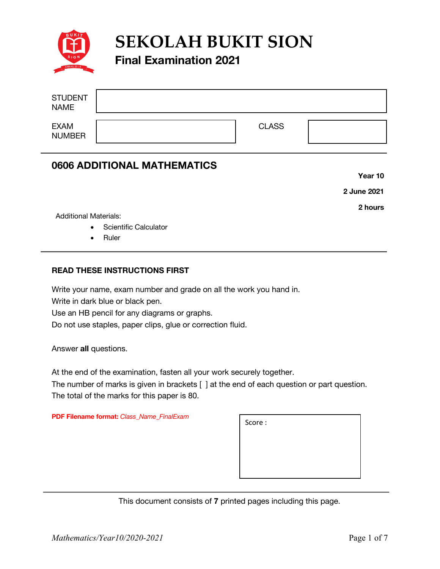

**SEKOLAH BUKIT SION**

# **Final Examination 2021**

| <b>STUDENT</b><br><b>NAME</b> |              |  |
|-------------------------------|--------------|--|
| <b>EXAM</b><br><b>NUMBER</b>  | <b>CLASS</b> |  |

## **0606 ADDITIONAL MATHEMATICS**

**Year 10**

**2 June 2021**

**2 hours** 

Additional Materials:

 $\overline{a}$ 

- Scientific Calculator
- Ruler

#### **READ THESE INSTRUCTIONS FIRST**

Write your name, exam number and grade on all the work you hand in.

Write in dark blue or black pen.

Use an HB pencil for any diagrams or graphs.

Do not use staples, paper clips, glue or correction fluid.

Answer **all** questions.

At the end of the examination, fasten all your work securely together.

The number of marks is given in brackets [ ] at the end of each question or part question. The total of the marks for this paper is 80.

**PDF Filename format:** *Class\_Name\_FinalExam*

| Score: |  |  |
|--------|--|--|
|        |  |  |
|        |  |  |
|        |  |  |

This document consists of **7** printed pages including this page.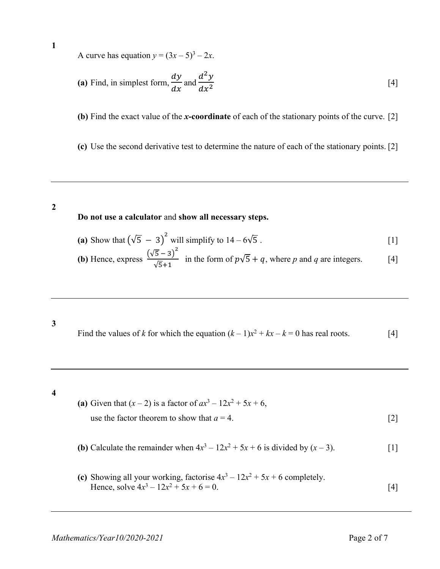**1**

A curve has equation  $y = (3x - 5)^3 - 2x$ .

(a) Find, in simplest form, 
$$
\frac{dy}{dx}
$$
 and  $\frac{d^2y}{dx^2}$  [4]

**(b)** Find the exact value of the *x***-coordinate** of each of the stationary points of the curve. [2]

**(c)** Use the second derivative test to determine the nature of each of the stationary points. [2]

**2**

#### **Do not use a calculator** and **show all necessary steps.**

(a) Show that 
$$
(\sqrt{5} - 3)^2
$$
 will simplify to  $14 - 6\sqrt{5}$ .

**(b)** Hence, express 
$$
\frac{(\sqrt{5}-3)^2}{\sqrt{5}+1}
$$
 in the form of  $p\sqrt{5}+q$ , where *p* and *q* are integers. [4]

Find the values of *k* for which the equation  $(k-1)x^2 + kx - k = 0$  has real roots. [4]

#### **4**

**3**

- **(a)** Given that  $(x 2)$  is a factor of  $ax^3 12x^2 + 5x + 6$ , use the factor theorem to show that  $a = 4$ . [2]
- **(b)** Calculate the remainder when  $4x^3 12x^2 + 5x + 6$  is divided by  $(x 3)$ . [1]
- **(c)** Showing all your working, factorise  $4x^3 12x^2 + 5x + 6$  completely. Hence, solve  $4x^3 - 12x^2 + 5x + 6 = 0$ . [4]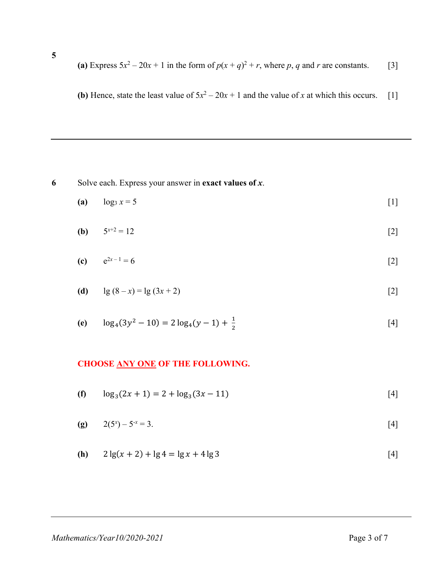**5**

**(a)** Express  $5x^2 - 20x + 1$  in the form of  $p(x + q)^2 + r$ , where p, q and r are constants. [3]

**(b)** Hence, state the least value of  $5x^2 - 20x + 1$  and the value of *x* at which this occurs. [1]

### **6** Solve each. Express your answer in **exact values of** *x*.

(a) 
$$
\log_3 x = 5
$$
 [1]

**(b)** 
$$
5^{x+2} = 12
$$
 [2]

(c) 
$$
e^{2x-1} = 6
$$
 [2]

(d) 
$$
\lg (8-x) = \lg (3x+2)
$$
 [2]

(e) 
$$
\log_4(3y^2 - 10) = 2\log_4(y - 1) + \frac{1}{2}
$$
 [4]

#### **CHOOSE ANY ONE OF THE FOLLOWING.**

- **(f)**  $\log_3(2x + 1) = 2 + \log_3(3x 11)$  [4]
- **(g)**  $2(5^x) 5^{-x} = 3.$  [4]

(h) 
$$
2\lg(x+2) + \lg 4 = \lg x + 4\lg 3
$$
 [4]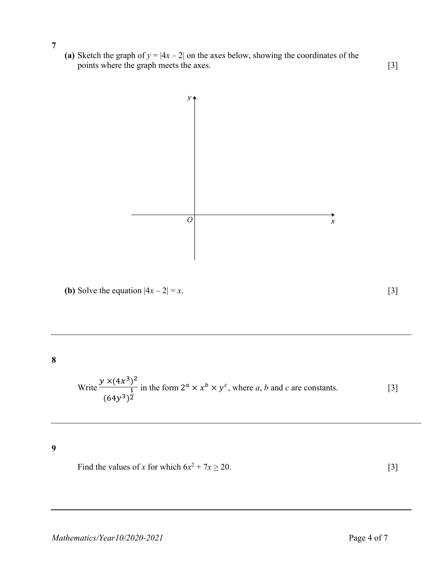- **7**
- (a) Sketch the graph of  $y = |4x 2|$  on the axes below, showing the coordinates of the points where the graph meets the axes. [3]

 $y_{\uparrow}$  $\overline{o}$  $\boldsymbol{x}$ **(b)** Solve the equation  $|4x - 2| = x$ . [3] Write  $\frac{y \times (4x^3)^2}{1}$ 

Write 
$$
\frac{y \times (4x^3)^2}{\frac{1}{(64y^3)^2}}
$$
 in the form  $2^a \times x^b \times y^c$ , where *a*, *b* and *c* are constants. [3]

**9**

**8**

Find the values of *x* for which  $6x^2 + 7x \ge 20$ . [3]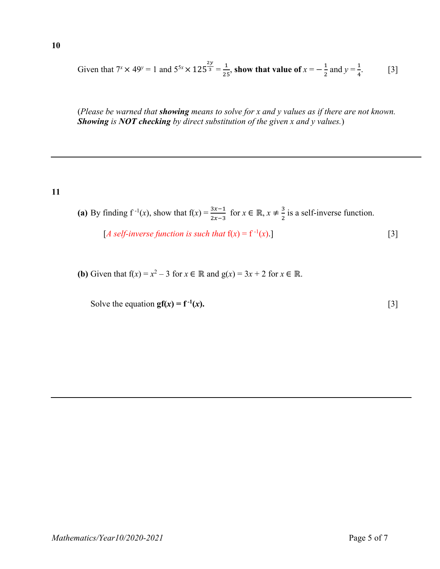$$
f_{\rm{max}}
$$

Given that 
$$
7^x \times 49^y = 1
$$
 and  $5^{5x} \times 125^{\frac{2y}{3}} = \frac{1}{25}$ , show that value of  $x = -\frac{1}{2}$  and  $y = \frac{1}{4}$ . [3]

(*Please be warned that showing means to solve for x and y values as if there are not known. Showing is NOT checking by direct substitution of the given x and y values.*)

#### **11**

**10** 

(a) By finding  $f^{-1}(x)$ , show that  $f(x) = \frac{3x-1}{2x-3}$  for  $x \in \mathbb{R}$ ,  $x \neq \frac{3}{2}$  is a self-inverse function.

[*A self-inverse function is such that*  $f(x) = f^{-1}(x)$ .] [3]

**(b)** Given that  $f(x) = x^2 - 3$  for  $x \in \mathbb{R}$  and  $g(x) = 3x + 2$  for  $x \in \mathbb{R}$ .

Solve the equation  $gf(x) = f^{-1}(x)$ .  $(x)$ . [3]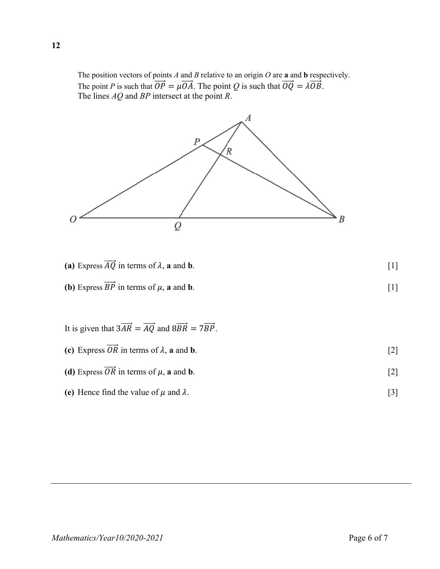The position vectors of points *A* and *B* relative to an origin *O* are **a** and **b** respectively. The point *P* is such that  $\overrightarrow{OP} = \mu \overrightarrow{OA}$ . The point *Q* is such that  $\overrightarrow{OQ} = \lambda \overrightarrow{OB}$ . The lines *AQ* and *BP* intersect at the point *R*.



- **(a)** Express  $\overrightarrow{AQ}$  in terms of  $\lambda$ , **a** and **b**. [1]
- **(b)** Express  $\overrightarrow{BP}$  in terms of  $\mu$ , **a** and **b**. [1]

It is given that 
$$
3\overrightarrow{AR} = \overrightarrow{AQ}
$$
 and  $8\overrightarrow{BR} = 7\overrightarrow{BP}$ .  
\n(c) Express  $\overrightarrow{OR}$  in terms of  $\lambda$ , **a** and **b**.

- **(d)** Express  $\overrightarrow{OR}$  in terms of  $\mu$ , **a** and **b**. [2]
- (e) Hence find the value of  $\mu$  and  $\lambda$ . [3]